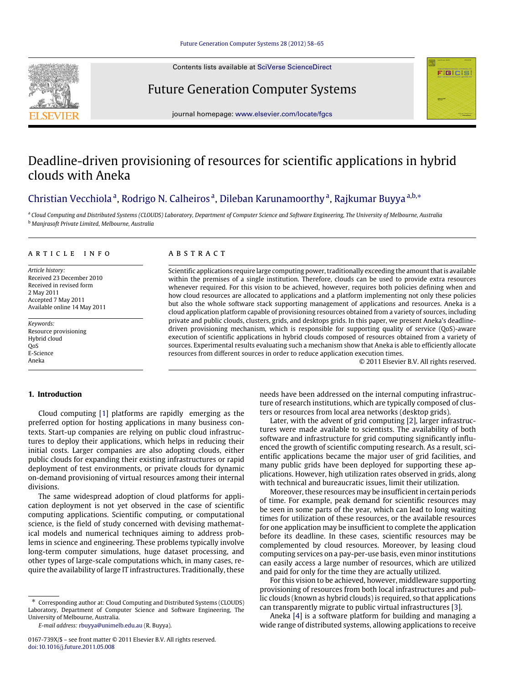Contents lists available at [SciVerse ScienceDirect](http://www.elsevier.com/locate/fgcs)





Future Generation Computer Systems journal homepage: [www.elsevier.com/locate/fgcs](http://www.elsevier.com/locate/fgcs)

# Deadline-driven provisioning of resources for scientific applications in hybrid clouds with Aneka

# [Christian Vecchiola](#page-7-0) <sup>[a](#page-0-0)</sup>, [Rodrigo N. Calheiros](#page-7-1) <sup>a</sup>, [Dileban Karunamoorthy](#page-7-2) <sup>a</sup>, [Rajkumar Buyya](#page-7-3) <sup>[a,](#page-0-0)[b,](#page-0-1)</sup>\*

<span id="page-0-1"></span><span id="page-0-0"></span><sup>a</sup> Cloud Computing and Distributed Systems (CLOUDS) Laboratory, Department of Computer Science and Software Engineering, The University of Melbourne, Australia <sup>b</sup> *Manjrasoft Private Limited, Melbourne, Australia*

# a r t i c l e i n f o

*Article history:* Received 23 December 2010 Received in revised form 2 May 2011 Accepted 7 May 2011 Available online 14 May 2011

*Keywords:* Resource provisioning Hybrid cloud QoS E-Science Aneka

# A B S T R A C T

Scientific applications require large computing power, traditionally exceeding the amount that is available within the premises of a single institution. Therefore, clouds can be used to provide extra resources whenever required. For this vision to be achieved, however, requires both policies defining when and how cloud resources are allocated to applications and a platform implementing not only these policies but also the whole software stack supporting management of applications and resources. Aneka is a cloud application platform capable of provisioning resources obtained from a variety of sources, including private and public clouds, clusters, grids, and desktops grids. In this paper, we present Aneka's deadlinedriven provisioning mechanism, which is responsible for supporting quality of service (QoS)-aware execution of scientific applications in hybrid clouds composed of resources obtained from a variety of sources. Experimental results evaluating such a mechanism show that Aneka is able to efficiently allocate resources from different sources in order to reduce application execution times.

© 2011 Elsevier B.V. All rights reserved.

# **1. Introduction**

Cloud computing [\[1\]](#page-6-0) platforms are rapidly emerging as the preferred option for hosting applications in many business contexts. Start-up companies are relying on public cloud infrastructures to deploy their applications, which helps in reducing their initial costs. Larger companies are also adopting clouds, either public clouds for expanding their existing infrastructures or rapid deployment of test environments, or private clouds for dynamic on-demand provisioning of virtual resources among their internal divisions.

The same widespread adoption of cloud platforms for application deployment is not yet observed in the case of scientific computing applications. Scientific computing, or computational science, is the field of study concerned with devising mathematical models and numerical techniques aiming to address problems in science and engineering. These problems typically involve long-term computer simulations, huge dataset processing, and other types of large-scale computations which, in many cases, require the availability of large IT infrastructures. Traditionally, these

<span id="page-0-2"></span>Corresponding author at: Cloud Computing and Distributed Systems (CLOUDS) Laboratory, Department of Computer Science and Software Engineering, The University of Melbourne, Australia.

*E-mail address:* [rbuyya@unimelb.edu.au](mailto:rbuyya@unimelb.edu.au) (R. Buyya).

needs have been addressed on the internal computing infrastructure of research institutions, which are typically composed of clusters or resources from local area networks (desktop grids).

Later, with the advent of grid computing [\[2\]](#page-6-1), larger infrastructures were made available to scientists. The availability of both software and infrastructure for grid computing significantly influenced the growth of scientific computing research. As a result, scientific applications became the major user of grid facilities, and many public grids have been deployed for supporting these applications. However, high utilization rates observed in grids, along with technical and bureaucratic issues, limit their utilization.

Moreover, these resources may be insufficient in certain periods of time. For example, peak demand for scientific resources may be seen in some parts of the year, which can lead to long waiting times for utilization of these resources, or the available resources for one application may be insufficient to complete the application before its deadline. In these cases, scientific resources may be complemented by cloud resources. Moreover, by leasing cloud computing services on a pay-per-use basis, even minor institutions can easily access a large number of resources, which are utilized and paid for only for the time they are actually utilized.

For this vision to be achieved, however, middleware supporting provisioning of resources from both local infrastructures and public clouds (known as hybrid clouds) is required, so that applications can transparently migrate to public virtual infrastructures [\[3\]](#page-6-2).

Aneka [\[4\]](#page-6-3) is a software platform for building and managing a wide range of distributed systems, allowing applications to receive

<sup>0167-739</sup>X/\$ – see front matter © 2011 Elsevier B.V. All rights reserved. [doi:10.1016/j.future.2011.05.008](http://dx.doi.org/10.1016/j.future.2011.05.008)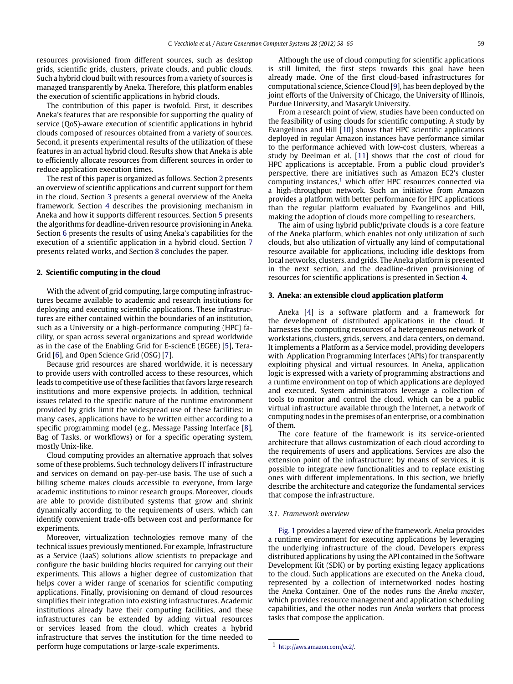resources provisioned from different sources, such as desktop grids, scientific grids, clusters, private clouds, and public clouds. Such a hybrid cloud built with resources from a variety of sources is managed transparently by Aneka. Therefore, this platform enables the execution of scientific applications in hybrid clouds.

The contribution of this paper is twofold. First, it describes Aneka's features that are responsible for supporting the quality of service (QoS)-aware execution of scientific applications in hybrid clouds composed of resources obtained from a variety of sources. Second, it presents experimental results of the utilization of these features in an actual hybrid cloud. Results show that Aneka is able to efficiently allocate resources from different sources in order to reduce application execution times.

The rest of this paper is organized as follows. Section [2](#page-1-0) presents an overview of scientific applications and current support for them in the cloud. Section [3](#page-1-1) presents a general overview of the Aneka framework. Section [4](#page-2-0) describes the provisioning mechanism in Aneka and how it supports different resources. Section [5](#page-3-0) presents the algorithms for deadline-driven resource provisioning in Aneka. Section [6](#page-5-0) presents the results of using Aneka's capabilities for the execution of a scientific application in a hybrid cloud. Section [7](#page-5-1) presents related works, and Section [8](#page-6-4) concludes the paper.

## <span id="page-1-0"></span>**2. Scientific computing in the cloud**

With the advent of grid computing, large computing infrastructures became available to academic and research institutions for deploying and executing scientific applications. These infrastructures are either contained within the boundaries of an institution, such as a University or a high-performance computing (HPC) facility, or span across several organizations and spread worldwide as in the case of the Enabling Grid for E-sciencE (EGEE) [\[5\]](#page-6-5), Tera-Grid [\[6\]](#page-6-6), and Open Science Grid (OSG) [\[7\]](#page-6-7).

Because grid resources are shared worldwide, it is necessary to provide users with controlled access to these resources, which leads to competitive use of these facilities that favors large research institutions and more expensive projects. In addition, technical issues related to the specific nature of the runtime environment provided by grids limit the widespread use of these facilities: in many cases, applications have to be written either according to a specific programming model (e.g., Message Passing Interface [\[8\]](#page-6-8), Bag of Tasks, or workflows) or for a specific operating system, mostly Unix-like.

Cloud computing provides an alternative approach that solves some of these problems. Such technology delivers IT infrastructure and services on demand on pay-per-use basis. The use of such a billing scheme makes clouds accessible to everyone, from large academic institutions to minor research groups. Moreover, clouds are able to provide distributed systems that grow and shrink dynamically according to the requirements of users, which can identify convenient trade-offs between cost and performance for experiments.

Moreover, virtualization technologies remove many of the technical issues previously mentioned. For example, Infrastructure as a Service (IaaS) solutions allow scientists to prepackage and configure the basic building blocks required for carrying out their experiments. This allows a higher degree of customization that helps cover a wider range of scenarios for scientific computing applications. Finally, provisioning on demand of cloud resources simplifies their integration into existing infrastructures. Academic institutions already have their computing facilities, and these infrastructures can be extended by adding virtual resources or services leased from the cloud, which creates a hybrid infrastructure that serves the institution for the time needed to perform huge computations or large-scale experiments.

Although the use of cloud computing for scientific applications is still limited, the first steps towards this goal have been already made. One of the first cloud-based infrastructures for computational science, Science Cloud [\[9\]](#page-6-9), has been deployed by the joint efforts of the University of Chicago, the University of Illinois, Purdue University, and Masaryk University.

From a research point of view, studies have been conducted on the feasibility of using clouds for scientific computing. A study by Evangelinos and Hill [\[10\]](#page-6-10) shows that HPC scientific applications deployed in regular Amazon instances have performance similar to the performance achieved with low-cost clusters, whereas a study by Deelman et al. [\[11\]](#page-6-11) shows that the cost of cloud for HPC applications is acceptable. From a public cloud provider's perspective, there are initiatives such as Amazon EC2's cluster computing instances, $<sup>1</sup>$  $<sup>1</sup>$  $<sup>1</sup>$  which offer HPC resources connected via</sup> a high-throughput network. Such an initiative from Amazon provides a platform with better performance for HPC applications than the regular platform evaluated by Evangelinos and Hill, making the adoption of clouds more compelling to researchers.

The aim of using hybrid public/private clouds is a core feature of the Aneka platform, which enables not only utilization of such clouds, but also utilization of virtually any kind of computational resource available for applications, including idle desktops from local networks, clusters, and grids. The Aneka platform is presented in the next section, and the deadline-driven provisioning of resources for scientific applications is presented in Section [4.](#page-2-0)

#### <span id="page-1-1"></span>**3. Aneka: an extensible cloud application platform**

Aneka [\[4\]](#page-6-3) is a software platform and a framework for the development of distributed applications in the cloud. It harnesses the computing resources of a heterogeneous network of workstations, clusters, grids, servers, and data centers, on demand. It implements a Platform as a Service model, providing developers with Application Programming Interfaces (APIs) for transparently exploiting physical and virtual resources. In Aneka, application logic is expressed with a variety of programming abstractions and a runtime environment on top of which applications are deployed and executed. System administrators leverage a collection of tools to monitor and control the cloud, which can be a public virtual infrastructure available through the Internet, a network of computing nodes in the premises of an enterprise, or a combination of them.

The core feature of the framework is its service-oriented architecture that allows customization of each cloud according to the requirements of users and applications. Services are also the extension point of the infrastructure: by means of services, it is possible to integrate new functionalities and to replace existing ones with different implementations. In this section, we briefly describe the architecture and categorize the fundamental services that compose the infrastructure.

#### *3.1. Framework overview*

[Fig. 1](#page-2-1) provides a layered view of the framework. Aneka provides a runtime environment for executing applications by leveraging the underlying infrastructure of the cloud. Developers express distributed applications by using the API contained in the Software Development Kit (SDK) or by porting existing legacy applications to the cloud. Such applications are executed on the Aneka cloud, represented by a collection of internetworked nodes hosting the Aneka Container. One of the nodes runs the *Aneka master*, which provides resource management and application scheduling capabilities, and the other nodes run *Aneka workers* that process tasks that compose the application.

<span id="page-1-2"></span><sup>1</sup> [http://aws.amazon.com/ec2/.](http://aws.amazon.com/ec2/)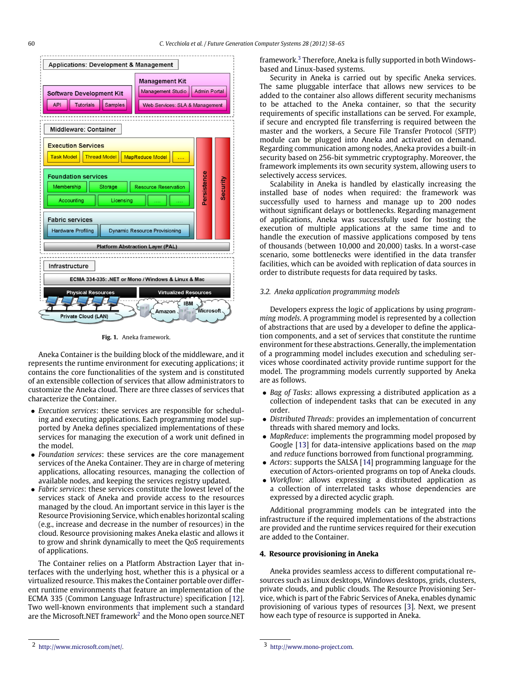<span id="page-2-1"></span>

**Fig. 1.** Aneka framework.

Aneka Container is the building block of the middleware, and it represents the runtime environment for executing applications; it contains the core functionalities of the system and is constituted of an extensible collection of services that allow administrators to customize the Aneka cloud. There are three classes of services that characterize the Container.

- *Execution services*: these services are responsible for scheduling and executing applications. Each programming model supported by Aneka defines specialized implementations of these services for managing the execution of a work unit defined in the model.
- *Foundation services*: these services are the core management services of the Aneka Container. They are in charge of metering applications, allocating resources, managing the collection of available nodes, and keeping the services registry updated.
- *Fabric services*: these services constitute the lowest level of the services stack of Aneka and provide access to the resources managed by the cloud. An important service in this layer is the Resource Provisioning Service, which enables horizontal scaling (e.g., increase and decrease in the number of resources) in the cloud. Resource provisioning makes Aneka elastic and allows it to grow and shrink dynamically to meet the QoS requirements of applications.

The Container relies on a Platform Abstraction Layer that interfaces with the underlying host, whether this is a physical or a virtualized resource. This makes the Container portable over different runtime environments that feature an implementation of the ECMA 335 (Common Language Infrastructure) specification [\[12\]](#page-6-12). Two well-known environments that implement such a standard are the Microsoft.NET framework $^2$  $^2$  and the Mono open source.NET

framework.<sup>[3](#page-2-3)</sup> Therefore, Aneka is fully supported in both Windowsbased and Linux-based systems.

Security in Aneka is carried out by specific Aneka services. The same pluggable interface that allows new services to be added to the container also allows different security mechanisms to be attached to the Aneka container, so that the security requirements of specific installations can be served. For example, if secure and encrypted file transferring is required between the master and the workers, a Secure File Transfer Protocol (SFTP) module can be plugged into Aneka and activated on demand. Regarding communication among nodes, Aneka provides a built-in security based on 256-bit symmetric cryptography. Moreover, the framework implements its own security system, allowing users to selectively access services.

Scalability in Aneka is handled by elastically increasing the installed base of nodes when required: the framework was successfully used to harness and manage up to 200 nodes without significant delays or bottlenecks. Regarding management of applications, Aneka was successfully used for hosting the execution of multiple applications at the same time and to handle the execution of massive applications composed by tens of thousands (between 10,000 and 20,000) tasks. In a worst-case scenario, some bottlenecks were identified in the data transfer facilities, which can be avoided with replication of data sources in order to distribute requests for data required by tasks.

# *3.2. Aneka application programming models*

Developers express the logic of applications by using *programming models*. A programming model is represented by a collection of abstractions that are used by a developer to define the application components, and a set of services that constitute the runtime environment for these abstractions. Generally, the implementation of a programming model includes execution and scheduling services whose coordinated activity provide runtime support for the model. The programming models currently supported by Aneka are as follows.

- *Bag of Tasks*: allows expressing a distributed application as a collection of independent tasks that can be executed in any order.
- *Distributed Threads*: provides an implementation of concurrent threads with shared memory and locks.
- *MapReduce*: implements the programming model proposed by Google [\[13\]](#page-6-13) for data-intensive applications based on the *map* and *reduce* functions borrowed from functional programming.
- *Actors*: supports the SALSA [\[14\]](#page-7-4) programming language for the execution of Actors-oriented programs on top of Aneka clouds.
- *Workflow*: allows expressing a distributed application as a collection of interrelated tasks whose dependencies are expressed by a directed acyclic graph.

Additional programming models can be integrated into the infrastructure if the required implementations of the abstractions are provided and the runtime services required for their execution are added to the Container.

# <span id="page-2-0"></span>**4. Resource provisioning in Aneka**

Aneka provides seamless access to different computational resources such as Linux desktops, Windows desktops, grids, clusters, private clouds, and public clouds. The Resource Provisioning Service, which is part of the Fabric Services of Aneka, enables dynamic provisioning of various types of resources [\[3\]](#page-6-2). Next, we present how each type of resource is supported in Aneka.

<span id="page-2-2"></span><sup>2</sup> [http://www.microsoft.com/net/.](http://www.microsoft.com/net/)

<span id="page-2-3"></span><sup>3</sup> [http://www.mono-project.com.](http://www.mono-project.com)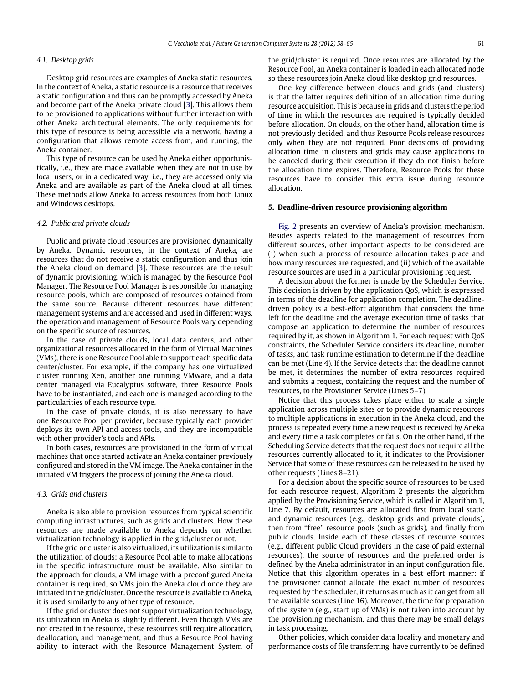#### *4.1. Desktop grids*

Desktop grid resources are examples of Aneka static resources. In the context of Aneka, a static resource is a resource that receives a static configuration and thus can be promptly accessed by Aneka and become part of the Aneka private cloud [\[3\]](#page-6-2). This allows them to be provisioned to applications without further interaction with other Aneka architectural elements. The only requirements for this type of resource is being accessible via a network, having a configuration that allows remote access from, and running, the Aneka container.

This type of resource can be used by Aneka either opportunistically, i.e., they are made available when they are not in use by local users, or in a dedicated way, i.e., they are accessed only via Aneka and are available as part of the Aneka cloud at all times. These methods allow Aneka to access resources from both Linux and Windows desktops.

#### *4.2. Public and private clouds*

Public and private cloud resources are provisioned dynamically by Aneka. Dynamic resources, in the context of Aneka, are resources that do not receive a static configuration and thus join the Aneka cloud on demand [\[3\]](#page-6-2). These resources are the result of dynamic provisioning, which is managed by the Resource Pool Manager. The Resource Pool Manager is responsible for managing resource pools, which are composed of resources obtained from the same source. Because different resources have different management systems and are accessed and used in different ways, the operation and management of Resource Pools vary depending on the specific source of resources.

In the case of private clouds, local data centers, and other organizational resources allocated in the form of Virtual Machines (VMs), there is one Resource Pool able to support each specific data center/cluster. For example, if the company has one virtualized cluster running Xen, another one running VMware, and a data center managed via Eucalyptus software, three Resource Pools have to be instantiated, and each one is managed according to the particularities of each resource type.

In the case of private clouds, it is also necessary to have one Resource Pool per provider, because typically each provider deploys its own API and access tools, and they are incompatible with other provider's tools and APIs.

In both cases, resources are provisioned in the form of virtual machines that once started activate an Aneka container previously configured and stored in the VM image. The Aneka container in the initiated VM triggers the process of joining the Aneka cloud.

#### *4.3. Grids and clusters*

Aneka is also able to provision resources from typical scientific computing infrastructures, such as grids and clusters. How these resources are made available to Aneka depends on whether virtualization technology is applied in the grid/cluster or not.

If the grid or cluster is also virtualized, its utilization is similar to the utilization of clouds: a Resource Pool able to make allocations in the specific infrastructure must be available. Also similar to the approach for clouds, a VM image with a preconfigured Aneka container is required, so VMs join the Aneka cloud once they are initiated in the grid/cluster. Once the resource is available to Aneka, it is used similarly to any other type of resource.

If the grid or cluster does not support virtualization technology, its utilization in Aneka is slightly different. Even though VMs are not created in the resource, these resources still require allocation, deallocation, and management, and thus a Resource Pool having ability to interact with the Resource Management System of the grid/cluster is required. Once resources are allocated by the Resource Pool, an Aneka container is loaded in each allocated node so these resources join Aneka cloud like desktop grid resources.

One key difference between clouds and grids (and clusters) is that the latter requires definition of an allocation time during resource acquisition. This is because in grids and clusters the period of time in which the resources are required is typically decided before allocation. On clouds, on the other hand, allocation time is not previously decided, and thus Resource Pools release resources only when they are not required. Poor decisions of providing allocation time in clusters and grids may cause applications to be canceled during their execution if they do not finish before the allocation time expires. Therefore, Resource Pools for these resources have to consider this extra issue during resource allocation.

# <span id="page-3-0"></span>**5. Deadline-driven resource provisioning algorithm**

[Fig. 2](#page-4-0) presents an overview of Aneka's provision mechanism. Besides aspects related to the management of resources from different sources, other important aspects to be considered are (i) when such a process of resource allocation takes place and how many resources are requested, and (ii) which of the available resource sources are used in a particular provisioning request.

A decision about the former is made by the Scheduler Service. This decision is driven by the application QoS, which is expressed in terms of the deadline for application completion. The deadlinedriven policy is a best-effort algorithm that considers the time left for the deadline and the average execution time of tasks that compose an application to determine the number of resources required by it, as shown in Algorithm 1. For each request with QoS constraints, the Scheduler Service considers its deadline, number of tasks, and task runtime estimation to determine if the deadline can be met (Line 4). If the Service detects that the deadline cannot be met, it determines the number of extra resources required and submits a request, containing the request and the number of resources, to the Provisioner Service (Lines 5–7).

Notice that this process takes place either to scale a single application across multiple sites or to provide dynamic resources to multiple applications in execution in the Aneka cloud, and the process is repeated every time a new request is received by Aneka and every time a task completes or fails. On the other hand, if the Scheduling Service detects that the request does not require all the resources currently allocated to it, it indicates to the Provisioner Service that some of these resources can be released to be used by other requests (Lines 8–21).

For a decision about the specific source of resources to be used for each resource request, Algorithm 2 presents the algorithm applied by the Provisioning Service, which is called in Algorithm 1, Line 7. By default, resources are allocated first from local static and dynamic resources (e.g., desktop grids and private clouds), then from "free" resource pools (such as grids), and finally from public clouds. Inside each of these classes of resource sources (e.g., different public Cloud providers in the case of paid external resources), the source of resources and the preferred order is defined by the Aneka administrator in an input configuration file. Notice that this algorithm operates in a best effort manner: if the provisioner cannot allocate the exact number of resources requested by the scheduler, it returns as much as it can get from all the available sources (Line 16). Moreover, the time for preparation of the system (e.g., start up of VMs) is not taken into account by the provisioning mechanism, and thus there may be small delays in task processing.

Other policies, which consider data locality and monetary and performance costs of file transferring, have currently to be defined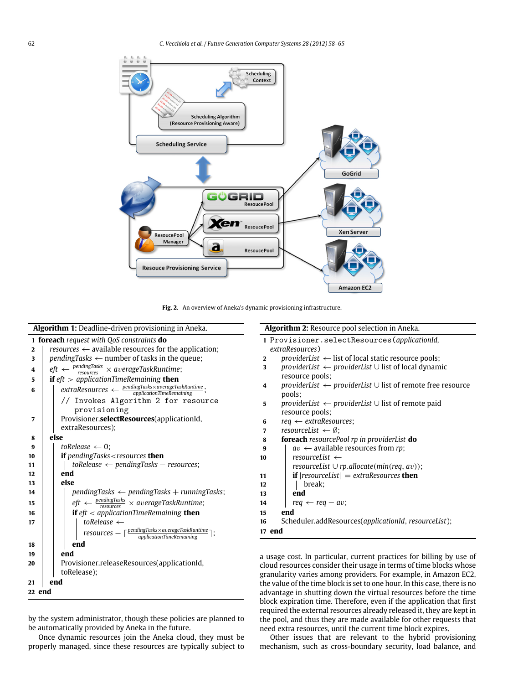<span id="page-4-0"></span>

**Fig. 2.** An overview of Aneka's dynamic provisioning infrastructure.

|                                                    | Algorithm 1: Deadline-driven provisioning in Aneka.                                                                                                                                                                                                                                                                                                                                                                                                                                                                                                 | Algorithm 2: Resource pool selectio                                                                                                                                                                                                                                                                                                                                            |  |  |
|----------------------------------------------------|-----------------------------------------------------------------------------------------------------------------------------------------------------------------------------------------------------------------------------------------------------------------------------------------------------------------------------------------------------------------------------------------------------------------------------------------------------------------------------------------------------------------------------------------------------|--------------------------------------------------------------------------------------------------------------------------------------------------------------------------------------------------------------------------------------------------------------------------------------------------------------------------------------------------------------------------------|--|--|
| $\mathbf{2}$<br>3<br>4<br>5<br>6<br>$\overline{7}$ | 1 foreach request with QoS constraints do<br>resources $\leftarrow$ available resources for the application;<br>pendingTasks $\leftarrow$ number of tasks in the queue;<br>$\textit{eff} \leftarrow \frac{\textit{pendingTasks}}{\textit{resources}} \times \textit{averageTaskRuntimeException};$<br>if $eft$ > applicationTimeRemaining then<br>$extraResources \leftarrow \frac{pendingTaskxaverageTaskRunning}{applicationTimeRemaining};$<br>// Invokes Algorithm 2 for resource<br>provisioning<br>Provisioner.selectResources(applicationId, | 1 Provisioner.selectResourc<br>extraResources)<br>providerList $\leftarrow$ list of local stat<br>$\mathbf{2}$<br>providerList $\leftarrow$ providerList $\cup$ l<br>3<br>resource pools;<br>providerList $\leftarrow$ providerList $\cup$ l<br>4<br>pools;<br>providerList $\leftarrow$ providerList $\cup$ l<br>5<br>resource pools;<br>$req \leftarrow extraResource;$<br>6 |  |  |
|                                                    | extraResources);                                                                                                                                                                                                                                                                                                                                                                                                                                                                                                                                    | resourceList $\leftarrow \emptyset$ :<br>7                                                                                                                                                                                                                                                                                                                                     |  |  |
| 8                                                  | else                                                                                                                                                                                                                                                                                                                                                                                                                                                                                                                                                | foreach resourcePool rp in prov<br>8                                                                                                                                                                                                                                                                                                                                           |  |  |
| 9                                                  | toRelease $\leftarrow$ 0:                                                                                                                                                                                                                                                                                                                                                                                                                                                                                                                           | $av \leftarrow$ available resources fr<br>9                                                                                                                                                                                                                                                                                                                                    |  |  |
| 10                                                 | <b>if</b> pendingTasks < resources <b>then</b>                                                                                                                                                                                                                                                                                                                                                                                                                                                                                                      | resourceList $\leftarrow$<br>10                                                                                                                                                                                                                                                                                                                                                |  |  |
| 11<br>12                                           | $to$ Release $\leftarrow$ pendingTasks $-$ resources;<br>end                                                                                                                                                                                                                                                                                                                                                                                                                                                                                        | resourceList $\cup$ rp.allocate(m                                                                                                                                                                                                                                                                                                                                              |  |  |
| 13                                                 | else                                                                                                                                                                                                                                                                                                                                                                                                                                                                                                                                                | <b>if</b> $ $ resourceList $ $ = extraReso<br>11<br>break;<br>12                                                                                                                                                                                                                                                                                                               |  |  |
| 14                                                 | $pendingTasks \leftarrow pendingTasks + runningTasks;$                                                                                                                                                                                                                                                                                                                                                                                                                                                                                              | end<br>13                                                                                                                                                                                                                                                                                                                                                                      |  |  |
| 15                                                 | $\textit{eff} \leftarrow \frac{\textit{pendingTasks}}{\textit{resources}} \times \textit{averageTaskRuntime};$                                                                                                                                                                                                                                                                                                                                                                                                                                      | $req \leftarrow req - av;$<br>14                                                                                                                                                                                                                                                                                                                                               |  |  |
| 16                                                 | if $eft < aplicationTimeRemaining$ then                                                                                                                                                                                                                                                                                                                                                                                                                                                                                                             | end<br>15                                                                                                                                                                                                                                                                                                                                                                      |  |  |
| 17                                                 | toRelease $\leftarrow$                                                                                                                                                                                                                                                                                                                                                                                                                                                                                                                              | Scheduler.addResources(applic<br>16                                                                                                                                                                                                                                                                                                                                            |  |  |
|                                                    | $resources - \lceil \frac{pendingTask \times averageTaskRuntimeException}{application TimeRemaining} \rceil;$                                                                                                                                                                                                                                                                                                                                                                                                                                       | 17 end                                                                                                                                                                                                                                                                                                                                                                         |  |  |
| 18                                                 | end                                                                                                                                                                                                                                                                                                                                                                                                                                                                                                                                                 |                                                                                                                                                                                                                                                                                                                                                                                |  |  |
| 19                                                 | end                                                                                                                                                                                                                                                                                                                                                                                                                                                                                                                                                 | a usage cost. In particular, current pi                                                                                                                                                                                                                                                                                                                                        |  |  |
| 20                                                 | Provisioner.releaseResources(applicationId,<br>toRelease);                                                                                                                                                                                                                                                                                                                                                                                                                                                                                          | cloud resources consider their usage ii<br>granularity varies among providers. F                                                                                                                                                                                                                                                                                               |  |  |
| 21                                                 | end                                                                                                                                                                                                                                                                                                                                                                                                                                                                                                                                                 | the value of the time block is set to one                                                                                                                                                                                                                                                                                                                                      |  |  |
| 22 end                                             |                                                                                                                                                                                                                                                                                                                                                                                                                                                                                                                                                     | advantage in shutting down the virtu<br>hlock expiration time. Therefore, ever                                                                                                                                                                                                                                                                                                 |  |  |

by the system administrator, though these policies are planned to be automatically provided by Aneka in the future.

Once dynamic resources join the Aneka cloud, they must be properly managed, since these resources are typically subject to **n** in Aneka.

|        | 1 Provisioner.selectResources(applicationId,                               |  |  |  |  |  |
|--------|----------------------------------------------------------------------------|--|--|--|--|--|
|        | extraResources)                                                            |  |  |  |  |  |
| 2      | providerList $\leftarrow$ list of local static resource pools;             |  |  |  |  |  |
| 3      | providerList $\leftarrow$ providerList $\cup$ list of local dynamic        |  |  |  |  |  |
|        | resource pools;                                                            |  |  |  |  |  |
| 4      | providerList $\leftarrow$ providerList $\cup$ list of remote free resource |  |  |  |  |  |
|        | pools;                                                                     |  |  |  |  |  |
| 5      | providerList $\leftarrow$ providerList $\cup$ list of remote paid          |  |  |  |  |  |
|        | resource pools;                                                            |  |  |  |  |  |
| 6      | $req \leftarrow$ extraResources;                                           |  |  |  |  |  |
| 7      | resourceList $\leftarrow \emptyset$ :                                      |  |  |  |  |  |
| 8      | <b>foreach</b> resourcePool rp in providerList <b>do</b>                   |  |  |  |  |  |
| 9      | $av \leftarrow$ available resources from rp;                               |  |  |  |  |  |
| 10     | resourceList $\leftarrow$                                                  |  |  |  |  |  |
|        | resourceList $\cup$ rp.allocate(min(req, av));                             |  |  |  |  |  |
| 11     | <b>if</b> $ resourceList  = extraResource$ then                            |  |  |  |  |  |
| 12     | break;                                                                     |  |  |  |  |  |
| 13     | end                                                                        |  |  |  |  |  |
| 14     | $req \leftarrow req - av;$                                                 |  |  |  |  |  |
| 15     | end                                                                        |  |  |  |  |  |
| 16     | Scheduler.addResources(applicationId, resourceList);                       |  |  |  |  |  |
| 17 end |                                                                            |  |  |  |  |  |

ractices for billing by use of n terms of time blocks whose For example, in Amazon EC2, hour. In this case, there is no al resources before the time block expiration time. Therefore, even if the application that first required the external resources already released it, they are kept in the pool, and thus they are made available for other requests that need extra resources, until the current time block expires.

Other issues that are relevant to the hybrid provisioning mechanism, such as cross-boundary security, load balance, and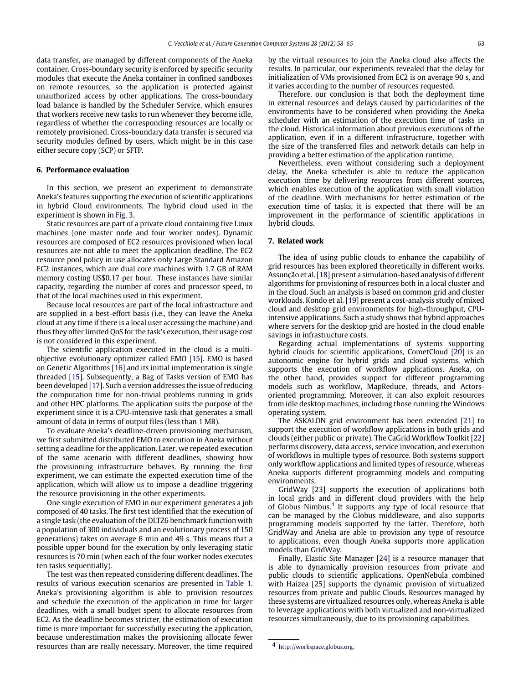data transfer, are managed by different components of the Aneka container. Cross-boundary security is enforced by specific security modules that execute the Aneka container in confined sandboxes on remote resources, so the application is protected against unauthorized access by other applications. The cross-boundary load balance is handled by the Scheduler Service, which ensures that workers receive new tasks to run whenever they become idle, regardless of whether the corresponding resources are locally or remotely provisioned. Cross-boundary data transfer is secured via security modules defined by users, which might be in this case either secure copy (SCP) or SFTP.

## <span id="page-5-0"></span>**6. Performance evaluation**

In this section, we present an experiment to demonstrate Aneka's features supporting the execution of scientific applications in hybrid Cloud environments. The hybrid cloud used in the experiment is shown in [Fig. 3.](#page-6-14)

Static resources are part of a private cloud containing five Linux machines (one master node and four worker nodes). Dynamic resources are composed of EC2 resources provisioned when local resources are not able to meet the application deadline. The EC2 resource pool policy in use allocates only Large Standard Amazon EC2 instances, which are dual core machines with 1.7 GB of RAM memory costing US\$0.17 per hour. These instances have similar capacity, regarding the number of cores and processor speed, to that of the local machines used in this experiment.

Because local resources are part of the local infrastructure and are supplied in a best-effort basis (i.e., they can leave the Aneka cloud at any time if there is a local user accessing the machine) and thus they offer limited QoS for the task's execution, their usage cost is not considered in this experiment.

The scientific application executed in the cloud is a multiobjective evolutionary optimizer called EMO [\[15\]](#page-7-5). EMO is based on Genetic Algorithms [\[16\]](#page-7-6) and its initial implementation is single threaded [\[15\]](#page-7-5). Subsequently, a Bag of Tasks version of EMO has been developed [\[17\]](#page-7-7). Such a version addresses the issue of reducing the computation time for non-trivial problems running in grids and other HPC platforms. The application suits the purpose of the experiment since it is a CPU-intensive task that generates a small amount of data in terms of output files (less than 1 MB).

To evaluate Aneka's deadline-driven provisioning mechanism, we first submitted distributed EMO to execution in Aneka without setting a deadline for the application. Later, we repeated execution of the same scenario with different deadlines, showing how the provisioning infrastructure behaves. By running the first experiment, we can estimate the expected execution time of the application, which will allow us to impose a deadline triggering the resource provisioning in the other experiments.

One single execution of EMO in our experiment generates a job composed of 40 tasks. The first test identified that the execution of a single task (the evaluation of the DLTZ6 benchmark function with a population of 300 individuals and an evolutionary process of 150 generations) takes on average 6 min and 49 s. This means that a possible upper bound for the execution by only leveraging static resources is 70 min (when each of the four worker nodes executes ten tasks sequentially).

The test was then repeated considering different deadlines. The results of various execution scenarios are presented in [Table 1.](#page-6-15) Aneka's provisioning algorithm is able to provision resources and schedule the execution of the application in time for larger deadlines, with a small budget spent to allocate resources from EC2. As the deadline becomes stricter, the estimation of execution time is more important for successfully executing the application, because underestimation makes the provisioning allocate fewer resources than are really necessary. Moreover, the time required

by the virtual resources to join the Aneka cloud also affects the results. In particular, our experiments revealed that the delay for initialization of VMs provisioned from EC2 is on average 90 s, and it varies according to the number of resources requested.

Therefore, our conclusion is that both the deployment time in external resources and delays caused by particularities of the environments have to be considered when providing the Aneka scheduler with an estimation of the execution time of tasks in the cloud. Historical information about previous executions of the application, even if in a different infrastructure, together with the size of the transferred files and network details can help in providing a better estimation of the application runtime.

Nevertheless, even without considering such a deployment delay, the Aneka scheduler is able to reduce the application execution time by delivering resources from different sources, which enables execution of the application with small violation of the deadline. With mechanisms for better estimation of the execution time of tasks, it is expected that there will be an improvement in the performance of scientific applications in hybrid clouds.

#### <span id="page-5-1"></span>**7. Related work**

The idea of using public clouds to enhance the capability of grid resources has been explored theoretically in different works. Assunção et al. [\[18\]](#page-7-8) present a simulation-based analysis of different algorithms for provisioning of resources both in a local cluster and in the cloud. Such an analysis is based on common grid and cluster workloads. Kondo et al. [\[19\]](#page-7-9) present a cost-analysis study of mixed cloud and desktop grid environments for high-throughput, CPUintensive applications. Such a study shows that hybrid approaches where servers for the desktop grid are hosted in the cloud enable savings in infrastructure costs.

Regarding actual implementations of systems supporting hybrid clouds for scientific applications, CometCloud [\[20\]](#page-7-10) is an autonomic engine for hybrid grids and cloud systems, which supports the execution of workflow applications. Aneka, on the other hand, provides support for different programming models such as workflow, MapReduce, threads, and Actorsoriented programming. Moreover, it can also exploit resources from idle desktop machines, including those running the Windows operating system.

The ASKALON grid environment has been extended [\[21\]](#page-7-11) to support the execution of workflow applications in both grids and clouds (either public or private). The CaGrid Workflow Toolkit [\[22\]](#page-7-12) performs discovery, data access, service invocation, and execution of workflows in multiple types of resource. Both systems support only workflow applications and limited types of resource, whereas Aneka supports different programming models and computing environments.

GridWay [\[23\]](#page-7-13) supports the execution of applications both in local grids and in different cloud providers with the help of Globus Nimbus.<sup>[4](#page-5-2)</sup> It supports any type of local resource that can be managed by the Globus middleware, and also supports programming models supported by the latter. Therefore, both GridWay and Aneka are able to provision any type of resource to applications, even though Aneka supports more application models than GridWay.

Finally, Elastic Site Manager [\[24\]](#page-7-14) is a resource manager that is able to dynamically provision resources from private and public clouds to scientific applications. OpenNebula combined with Haizea [\[25\]](#page-7-15) supports the dynamic provision of virtualized resources from private and public Clouds. Resources managed by these systems are virtualized resources only, whereas Aneka is able to leverage applications with both virtualized and non-virtualized resources simultaneously, due to its provisioning capabilities.

<span id="page-5-2"></span><sup>4</sup> [http://workspace.globus.org.](http://workspace.globus.org)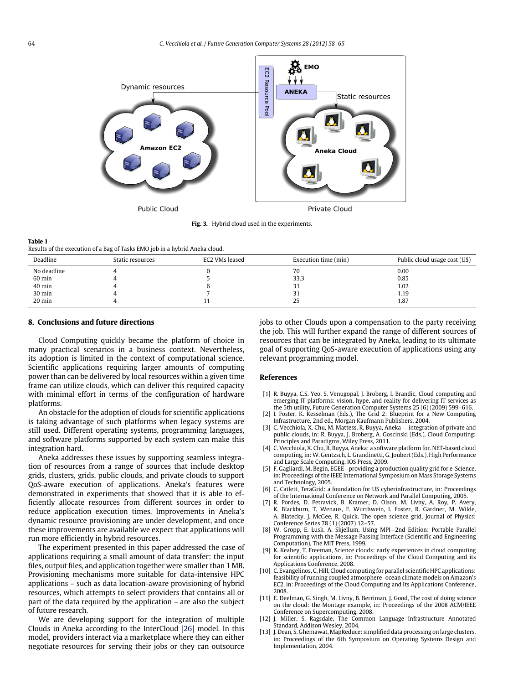<span id="page-6-14"></span>

**Fig. 3.** Hybrid cloud used in the experiments.

#### <span id="page-6-15"></span>**Table 1**

Results of the execution of a Bag of Tasks EMO job in a hybrid Aneka cloud.

| Deadline         | Static resources | EC2 VMs leased | Execution time (min) | Public cloud usage cost (U\$) |
|------------------|------------------|----------------|----------------------|-------------------------------|
| No deadline      |                  |                | 70                   | 0.00                          |
| 60 min           |                  |                | 33.3                 | 0.85                          |
| 40 min           |                  |                | ັ                    | 1.02                          |
| 30 min           |                  |                |                      | 1.19                          |
| $20 \text{ min}$ |                  |                | 25                   | 1.87                          |

#### <span id="page-6-4"></span>**8. Conclusions and future directions**

Cloud Computing quickly became the platform of choice in many practical scenarios in a business context. Nevertheless, its adoption is limited in the context of computational science. Scientific applications requiring larger amounts of computing power than can be delivered by local resources within a given time frame can utilize clouds, which can deliver this required capacity with minimal effort in terms of the configuration of hardware platforms.

An obstacle for the adoption of clouds for scientific applications is taking advantage of such platforms when legacy systems are still used. Different operating systems, programming languages, and software platforms supported by each system can make this integration hard.

Aneka addresses these issues by supporting seamless integration of resources from a range of sources that include desktop grids, clusters, grids, public clouds, and private clouds to support QoS-aware execution of applications. Aneka's features were demonstrated in experiments that showed that it is able to efficiently allocate resources from different sources in order to reduce application execution times. Improvements in Aneka's dynamic resource provisioning are under development, and once these improvements are available we expect that applications will run more efficiently in hybrid resources.

The experiment presented in this paper addressed the case of applications requiring a small amount of data transfer: the input files, output files, and application together were smaller than 1 MB. Provisioning mechanisms more suitable for data-intensive HPC applications – such as data location-aware provisioning of hybrid resources, which attempts to select providers that contains all or part of the data required by the application – are also the subject of future research.

We are developing support for the integration of multiple Clouds in Aneka according to the InterCloud [\[26\]](#page-7-16) model. In this model, providers interact via a marketplace where they can either negotiate resources for serving their jobs or they can outsource jobs to other Clouds upon a compensation to the party receiving the job. This will further expand the range of different sources of resources that can be integrated by Aneka, leading to its ultimate goal of supporting QoS-aware execution of applications using any relevant programming model.

#### **References**

- <span id="page-6-0"></span>[1] R. Buyya, C.S. Yeo, S. Venugopal, J. Broberg, I. Brandic, Cloud computing and emerging IT platforms: vision, hype, and reality for delivering IT services as the 5th utility, Future Generation Computer Systems 25 (6) (2009) 599–616.
- <span id="page-6-1"></span>[2] I. Foster, K. Kesselman (Eds.), The Grid 2: Blueprint for a New Computing Infrastructure, 2nd ed., Morgan Kaufmann Publishers, 2004.
- <span id="page-6-2"></span>[3] C. Vecchiola, X. Chu, M. Mattess, R. Buyya, Aneka — integration of private and public clouds, in: R. Buyya, J. Broberg, A. Goscinski (Eds.), Cloud Computing: Principles and Paradigms, Wiley Press, 2011.
- <span id="page-6-3"></span>[4] C. Vecchiola, X. Chu, R. Buyya, Aneka: a software platform for. NET-based cloud computing, in: W. Gentzsch, L. Grandinetti, G. Joubert (Eds.), High Performance and Large Scale Computing, IOS Press, 2009.
- <span id="page-6-5"></span>[5] F. Gagliardi, M. Begin, EGEE—providing a production quality grid for e-Science, in: Proceedings of the IEEE International Symposium on Mass Storage Systems and Technology, 2005.
- <span id="page-6-6"></span>[6] C. Catlett, TeraGrid: a foundation for US cyberinfrastructure, in: Proceedings of the International Conference on Network and Parallel Computing, 2005.
- <span id="page-6-7"></span>[7] R. Pordes, D. Petravick, B. Kramer, D. Olson, M. Livny, A. Roy, P. Avery, K. Blackburn, T. Wenaus, F. Wurthwein, I. Foster, R. Gardner, M. Wilde, A. Blatecky, J. McGee, R. Quick, The open science grid, Journal of Physics: Conference Series 78 (1) (2007) 12–57.
- <span id="page-6-8"></span>[8] W. Gropp, E. Lusk, A. Skjellum, Using MPI—2nd Edition: Portable Parallel Programming with the Message Passing Interface (Scientific and Engineering Computation), The MIT Press, 1999.
- <span id="page-6-9"></span>[9] K. Keahey, T. Freeman, Science clouds: early experiences in cloud computing for scientific applications, in: Proceedings of the Cloud Computing and its Applications Conference, 2008.
- <span id="page-6-10"></span>[10] C. Evangelinos, C. Hill, Cloud computing for parallel scientific HPC applications: feasibility of running coupled atmosphere–ocean climate models on Amazon's EC2, in: Proceedings of the Cloud Computing and Its Applications Conference, 2008.
- <span id="page-6-11"></span>[11] E. Deelman, G. Singh, M. Livny, B. Berriman, J. Good, The cost of doing science on the cloud: the Montage example, in: Proceedings of the 2008 ACM/IEEE Conference on Supercomputing, 2008.
- <span id="page-6-12"></span>[12] J. Miller, S. Ragsdale, The Common Language Infrastructure Annotated Standard, Addison Wesley, 2004.
- <span id="page-6-13"></span>[13] J. Dean, S. Ghemawat, MapReduce: simplified data processing on large clusters, in: Proceedings of the 6th Symposium on Operating Systems Design and Implementation, 2004.